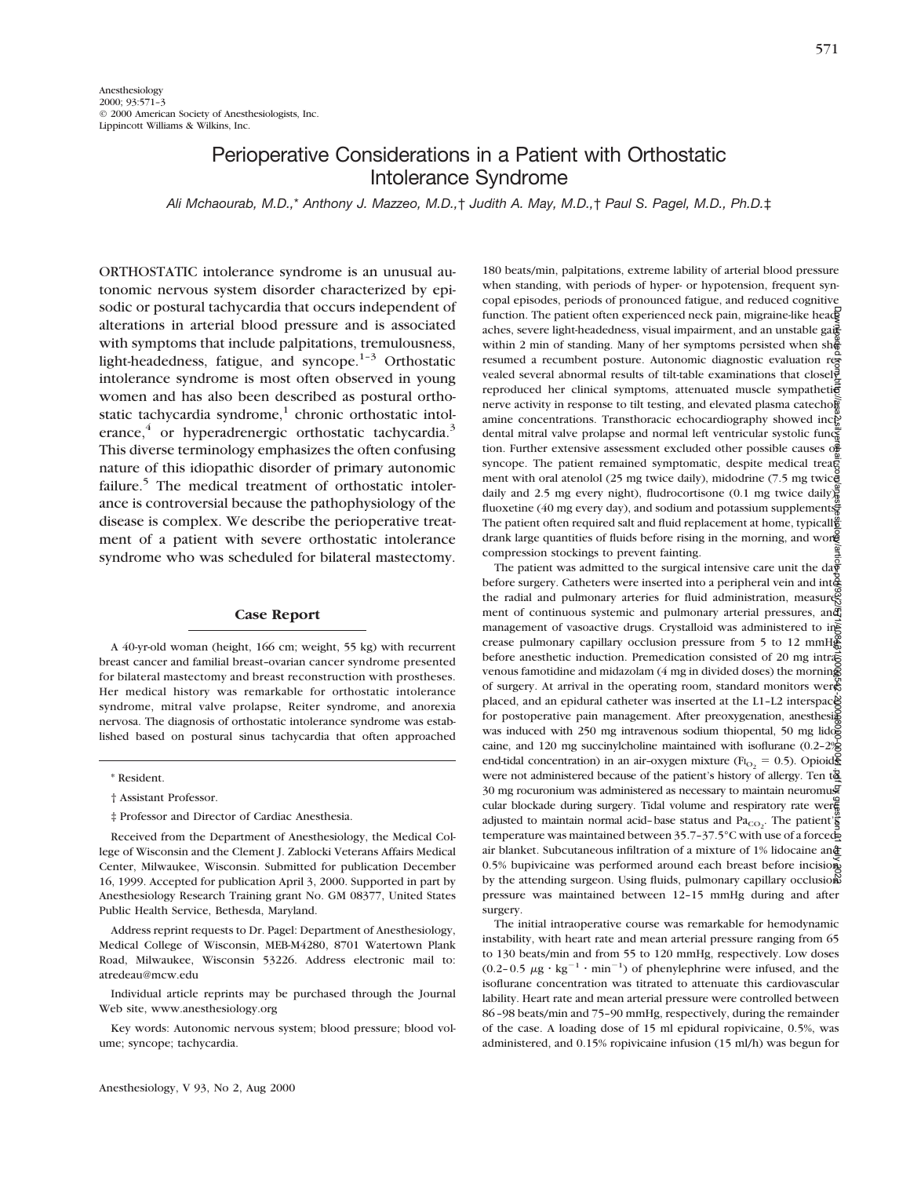## Perioperative Considerations in a Patient with Orthostatic Intolerance Syndrome

*Ali Mchaourab, M.D.,*\* *Anthony J. Mazzeo, M.D.,*† *Judith A. May, M.D.,*† *Paul S. Pagel, M.D., Ph.D.*‡

ORTHOSTATIC intolerance syndrome is an unusual autonomic nervous system disorder characterized by episodic or postural tachycardia that occurs independent of alterations in arterial blood pressure and is associated with symptoms that include palpitations, tremulousness, light-headedness, fatigue, and syncope. $1-3$  Orthostatic intolerance syndrome is most often observed in young women and has also been described as postural orthostatic tachycardia syndrome, $<sup>1</sup>$  chronic orthostatic intol-</sup> erance, $4$  or hyperadrenergic orthostatic tachycardia. $3$ This diverse terminology emphasizes the often confusing nature of this idiopathic disorder of primary autonomic failure.<sup>5</sup> The medical treatment of orthostatic intolerance is controversial because the pathophysiology of the disease is complex. We describe the perioperative treatment of a patient with severe orthostatic intolerance syndrome who was scheduled for bilateral mastectomy.

## **Case Report**

A 40-yr-old woman (height, 166 cm; weight, 55 kg) with recurrent breast cancer and familial breast–ovarian cancer syndrome presented for bilateral mastectomy and breast reconstruction with prostheses. Her medical history was remarkable for orthostatic intolerance syndrome, mitral valve prolapse, Reiter syndrome, and anorexia nervosa. The diagnosis of orthostatic intolerance syndrome was established based on postural sinus tachycardia that often approached

Address reprint requests to Dr. Pagel: Department of Anesthesiology, Medical College of Wisconsin, MEB-M4280, 8701 Watertown Plank Road, Milwaukee, Wisconsin 53226. Address electronic mail to: atredeau@mcw.edu

Individual article reprints may be purchased through the Journal Web site, www.anesthesiology.org

Key words: Autonomic nervous system; blood pressure; blood volume; syncope; tachycardia.

180 beats/min, palpitations, extreme lability of arterial blood pressure when standing, with periods of hyper- or hypotension, frequent syncopal episodes, periods of pronounced fatigue, and reduced cognitive function. The patient often experienced neck pain, migraine-like head aches, severe light-headedness, visual impairment, and an unstable gait within 2 min of standing. Many of her symptoms persisted when sh $\frac{5}{6}$ resumed a recumbent posture. Autonomic diagnostic evaluation revealed several abnormal results of tilt-table examinations that closel $\bar{\vec{v}}$ reproduced her clinical symptoms, attenuated muscle sympatheti $\vec{e}$ nerve activity in response to tilt testing, and elevated plasma catechol amine concentrations. Transthoracic echocardiography showed inc $\tilde{P}$ dental mitral valve prolapse and normal left ventricular systolic function. Further extensive assessment excluded other possible causes of syncope. The patient remained symptomatic, despite medical treatment with oral atenolol (25 mg twice daily), midodrine (7.5 mg twice daily and 2.5 mg every night), fludrocortisone (0.1 mg twice daily) fluoxetine (40 mg every day), and sodium and potassium supplements. The patient often required salt and fluid replacement at home, typicall drank large quantities of fluids before rising in the morning, and wore compression stockings to prevent fainting.

The patient was admitted to the surgical intensive care unit the day before surgery. Catheters were inserted into a peripheral vein and into the radial and pulmonary arteries for fluid administration, measures ment of continuous systemic and pulmonary arterial pressures, and management of vasoactive drugs. Crystalloid was administered to  $\text{in}$ crease pulmonary capillary occlusion pressure from 5 to 12 mmHg before anesthetic induction. Premedication consisted of 20 mg intrased venous famotidine and midazolam (4 mg in divided doses) the morning of surgery. At arrival in the operating room, standard monitors were placed, and an epidural catheter was inserted at the L1-L2 interspace for postoperative pain management. After preoxygenation, anesthesign was induced with 250 mg intravenous sodium thiopental, 50 mg lidog caine, and 120 mg succinylcholine maintained with isoflurane (0.2–2% end-tidal concentration) in an air-oxygen mixture ( $F_{\text{I}_{\text{O}_2}} = 0.5$ ). Opioids were not administered because of the patient's history of allergy. Ten  $t\overline{\mathbf{a}}$ 30 mg rocuronium was administered as necessary to maintain neuromuscular blockade during surgery. Tidal volume and respiratory rate weren adjusted to maintain normal acid-base status and  $\text{Pa}_{\text{CO}_2}$ . The patient's temperature was maintained between 35.7-37.5°C with use of a forcedair blanket. Subcutaneous infiltration of a mixture of 1% lidocaine and 0.5% bupivicaine was performed around each breast before incision by the attending surgeon. Using fluids, pulmonary capillary occlusions pressure was maintained between 12–15 mmHg during and after surgery. Downloaded from http://asa2.silverchair.com/anesthesiology/article-pdf/93/2/571/408431/0000542-200008000-00041.pdf by guest on 01 July 2022

The initial intraoperative course was remarkable for hemodynamic instability, with heart rate and mean arterial pressure ranging from 65 to 130 beats/min and from 55 to 120 mmHg, respectively. Low doses (0.2-0.5  $\mu$ g · kg<sup>-1</sup> · min<sup>-1</sup>) of phenylephrine were infused, and the isoflurane concentration was titrated to attenuate this cardiovascular lability. Heart rate and mean arterial pressure were controlled between 86–98 beats/min and 75–90 mmHg, respectively, during the remainder of the case. A loading dose of 15 ml epidural ropivicaine, 0.5%, was administered, and 0.15% ropivicaine infusion (15 ml/h) was begun for

<sup>\*</sup> Resident.

<sup>†</sup> Assistant Professor.

<sup>‡</sup> Professor and Director of Cardiac Anesthesia.

Received from the Department of Anesthesiology, the Medical College of Wisconsin and the Clement J. Zablocki Veterans Affairs Medical Center, Milwaukee, Wisconsin. Submitted for publication December 16, 1999. Accepted for publication April 3, 2000. Supported in part by Anesthesiology Research Training grant No. GM 08377, United States Public Health Service, Bethesda, Maryland.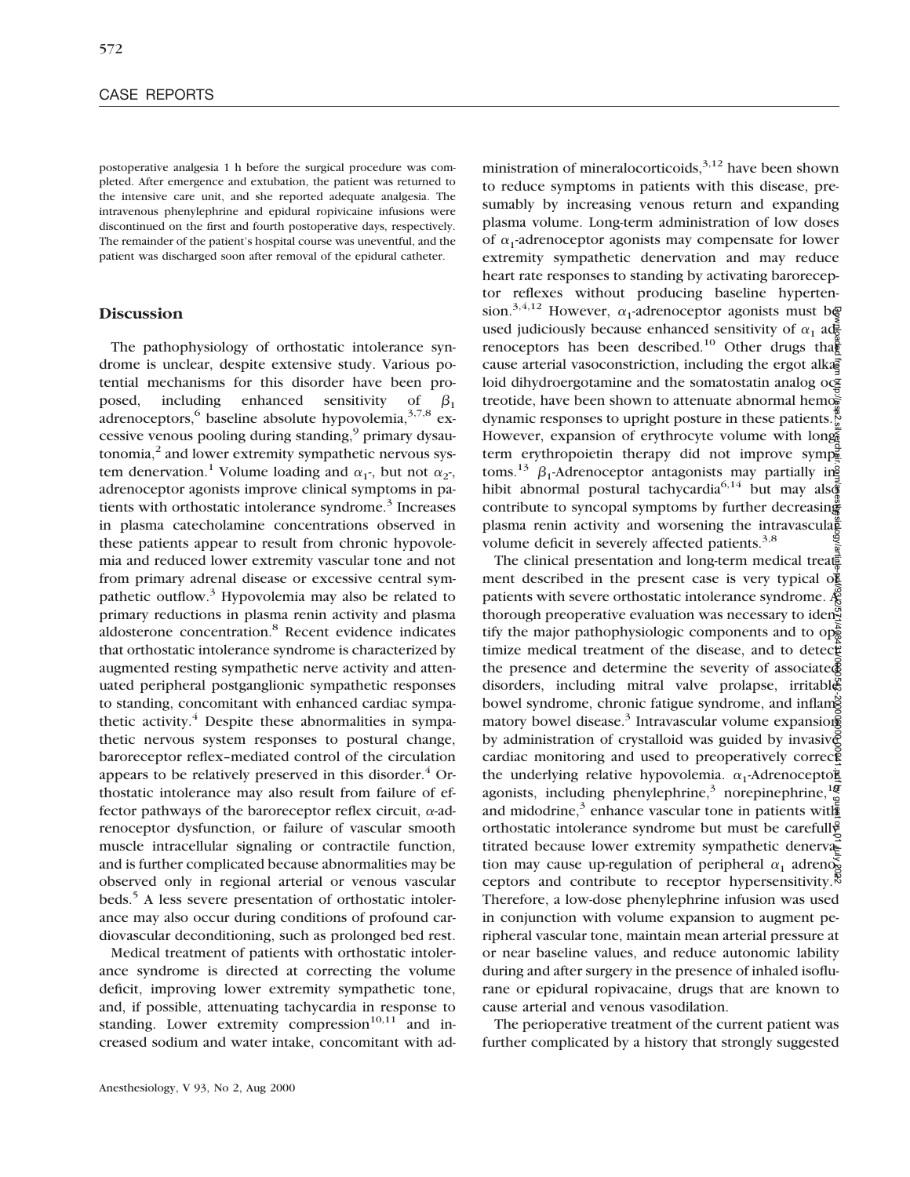postoperative analgesia 1 h before the surgical procedure was completed. After emergence and extubation, the patient was returned to the intensive care unit, and she reported adequate analgesia. The intravenous phenylephrine and epidural ropivicaine infusions were discontinued on the first and fourth postoperative days, respectively. The remainder of the patient's hospital course was uneventful, and the patient was discharged soon after removal of the epidural catheter.

## **Discussion**

The pathophysiology of orthostatic intolerance syndrome is unclear, despite extensive study. Various potential mechanisms for this disorder have been proposed, including enhanced sensitivity of  $\beta_1$ adrenoceptors,  $6$  baseline absolute hypovolemia,  $3,7,8$  excessive venous pooling during standing,<sup>9</sup> primary dysautonomia, $<sup>2</sup>$  and lower extremity sympathetic nervous sys-</sup> tem denervation.<sup>1</sup> Volume loading and  $\alpha_1$ -, but not  $\alpha_2$ -, adrenoceptor agonists improve clinical symptoms in patients with orthostatic intolerance syndrome.<sup>3</sup> Increases in plasma catecholamine concentrations observed in these patients appear to result from chronic hypovolemia and reduced lower extremity vascular tone and not from primary adrenal disease or excessive central sympathetic outflow.<sup>3</sup> Hypovolemia may also be related to primary reductions in plasma renin activity and plasma aldosterone concentration.8 Recent evidence indicates that orthostatic intolerance syndrome is characterized by augmented resting sympathetic nerve activity and attenuated peripheral postganglionic sympathetic responses to standing, concomitant with enhanced cardiac sympathetic activity. $4$  Despite these abnormalities in sympathetic nervous system responses to postural change, baroreceptor reflex–mediated control of the circulation appears to be relatively preserved in this disorder. $4$  Orthostatic intolerance may also result from failure of effector pathways of the baroreceptor reflex circuit,  $\alpha$ -adrenoceptor dysfunction, or failure of vascular smooth muscle intracellular signaling or contractile function, and is further complicated because abnormalities may be observed only in regional arterial or venous vascular beds.<sup>5</sup> A less severe presentation of orthostatic intolerance may also occur during conditions of profound cardiovascular deconditioning, such as prolonged bed rest.

Medical treatment of patients with orthostatic intolerance syndrome is directed at correcting the volume deficit, improving lower extremity sympathetic tone, and, if possible, attenuating tachycardia in response to standing. Lower extremity compression $10,11$  and increased sodium and water intake, concomitant with ad-

ministration of mineralocorticoids,  $3,12$  have been shown to reduce symptoms in patients with this disease, presumably by increasing venous return and expanding plasma volume. Long-term administration of low doses of  $\alpha_1$ -adrenoceptor agonists may compensate for lower extremity sympathetic denervation and may reduce heart rate responses to standing by activating baroreceptor reflexes without producing baseline hypertension.<sup>3,4,12</sup> However,  $\alpha_1$ -adrenoceptor agonists must be used judiciously because enhanced sensitivity of  $\alpha_1$  adrenoceptors has been described.<sup>10</sup> Other drugs that cause arterial vasoconstriction, including the ergot alkaloid dihydroergotamine and the somatostatin analog oc $\frac{1}{2}$ treotide, have been shown to attenuate abnormal hemog dynamic responses to upright posture in these patients.<sup>7</sup> However, expansion of erythrocyte volume with longterm erythropoietin therapy did not improve symptoms.<sup>13</sup>  $\beta_1$ -Adrenoceptor antagonists may partially inhibit abnormal postural tachycardia<sup>6,14</sup> but may also contribute to syncopal symptoms by further decreasing plasma renin activity and worsening the intravascularevolume deficit in severely affected patients.<sup>3,8</sup>

The clinical presentation and long-term medical treated ment described in the present case is very typical  $\sigma$ <sup>2</sup> patients with severe orthostatic intolerance syndrome.  $\mathcal{R}$ thorough preoperative evaluation was necessary to iden<sup>ed</sup> tify the major pathophysiologic components and to  $op_{\mathbb{R}}^{\mathbb{R}}$ timize medical treatment of the disease, and to detected the presence and determine the severity of associate $\tilde{\Phi}$ disorders, including mitral valve prolapse, irritable bowel syndrome, chronic fatigue syndrome, and inflamed matory bowel disease.<sup>3</sup> Intravascular volume expansions by administration of crystalloid was guided by invasive cardiac monitoring and used to preoperatively corrected the underlying relative hypovolemia.  $\alpha_1$ -Adrenoceptoragonists, including phenylephrine,<sup>3</sup> norepinephrine, $\frac{100}{2}$ and midodrine,<sup>3</sup> enhance vascular tone in patients with orthostatic intolerance syndrome but must be carefully titrated because lower extremity sympathetic denervation may cause up-regulation of peripheral  $\alpha_1$  adrenoceptors and contribute to receptor hypersensitivity.<sup>38</sup> Therefore, a low-dose phenylephrine infusion was used in conjunction with volume expansion to augment peripheral vascular tone, maintain mean arterial pressure at or near baseline values, and reduce autonomic lability during and after surgery in the presence of inhaled isoflurane or epidural ropivacaine, drugs that are known to cause arterial and venous vasodilation. Downloaded from http://asa2.silverchair.com/anesthesiology/article-pdf/93/2/571/408431/0000542-200008000-00041.pdf by guest on 01 July 2022

The perioperative treatment of the current patient was further complicated by a history that strongly suggested